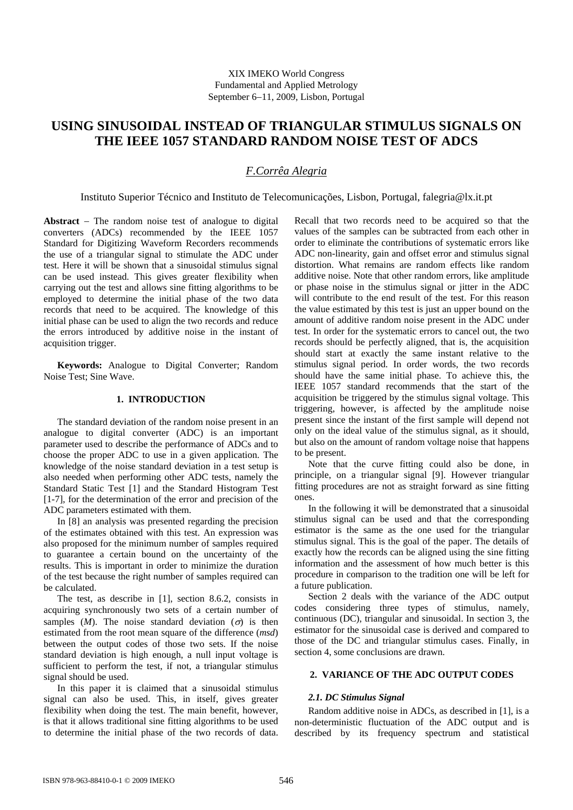# **USING SINUSOIDAL INSTEAD OF TRIANGULAR STIMULUS SIGNALS ON THE IEEE 1057 STANDARD RANDOM NOISE TEST OF ADCS**

# *F.Corrêa Alegria*

Instituto Superior Técnico and Instituto de Telecomunicações, Lisbon, Portugal, falegria@lx.it.pt

**Abstract** − The random noise test of analogue to digital converters (ADCs) recommended by the IEEE 1057 Standard for Digitizing Waveform Recorders recommends the use of a triangular signal to stimulate the ADC under test. Here it will be shown that a sinusoidal stimulus signal can be used instead. This gives greater flexibility when carrying out the test and allows sine fitting algorithms to be employed to determine the initial phase of the two data records that need to be acquired. The knowledge of this initial phase can be used to align the two records and reduce the errors introduced by additive noise in the instant of acquisition trigger.

**Keywords:** Analogue to Digital Converter; Random Noise Test; Sine Wave.

## **1. INTRODUCTION**

The standard deviation of the random noise present in an analogue to digital converter (ADC) is an important parameter used to describe the performance of ADCs and to choose the proper ADC to use in a given application. The knowledge of the noise standard deviation in a test setup is also needed when performing other ADC tests, namely the Standard Static Test [1] and the Standard Histogram Test [1-7], for the determination of the error and precision of the ADC parameters estimated with them.

In [8] an analysis was presented regarding the precision of the estimates obtained with this test. An expression was also proposed for the minimum number of samples required to guarantee a certain bound on the uncertainty of the results. This is important in order to minimize the duration of the test because the right number of samples required can be calculated.

The test, as describe in [1], section 8.6.2, consists in acquiring synchronously two sets of a certain number of samples  $(M)$ . The noise standard deviation  $(\sigma)$  is then estimated from the root mean square of the difference (*msd*) between the output codes of those two sets. If the noise standard deviation is high enough, a null input voltage is sufficient to perform the test, if not, a triangular stimulus signal should be used.

In this paper it is claimed that a sinusoidal stimulus signal can also be used. This, in itself, gives greater flexibility when doing the test. The main benefit, however, is that it allows traditional sine fitting algorithms to be used to determine the initial phase of the two records of data.

Recall that two records need to be acquired so that the values of the samples can be subtracted from each other in order to eliminate the contributions of systematic errors like ADC non-linearity, gain and offset error and stimulus signal distortion. What remains are random effects like random additive noise. Note that other random errors, like amplitude or phase noise in the stimulus signal or jitter in the ADC will contribute to the end result of the test. For this reason the value estimated by this test is just an upper bound on the amount of additive random noise present in the ADC under test. In order for the systematic errors to cancel out, the two records should be perfectly aligned, that is, the acquisition should start at exactly the same instant relative to the stimulus signal period. In order words, the two records should have the same initial phase. To achieve this, the IEEE 1057 standard recommends that the start of the acquisition be triggered by the stimulus signal voltage. This triggering, however, is affected by the amplitude noise present since the instant of the first sample will depend not only on the ideal value of the stimulus signal, as it should, but also on the amount of random voltage noise that happens to be present.

Note that the curve fitting could also be done, in principle, on a triangular signal [9]. However triangular fitting procedures are not as straight forward as sine fitting ones.

In the following it will be demonstrated that a sinusoidal stimulus signal can be used and that the corresponding estimator is the same as the one used for the triangular stimulus signal. This is the goal of the paper. The details of exactly how the records can be aligned using the sine fitting information and the assessment of how much better is this procedure in comparison to the tradition one will be left for a future publication.

Section 2 deals with the variance of the ADC output codes considering three types of stimulus, namely, continuous (DC), triangular and sinusoidal. In section 3, the estimator for the sinusoidal case is derived and compared to those of the DC and triangular stimulus cases. Finally, in section 4, some conclusions are drawn.

## **2. VARIANCE OF THE ADC OUTPUT CODES**

# *2.1. DC Stimulus Signal*

Random additive noise in ADCs, as described in [1], is a non-deterministic fluctuation of the ADC output and is described by its frequency spectrum and statistical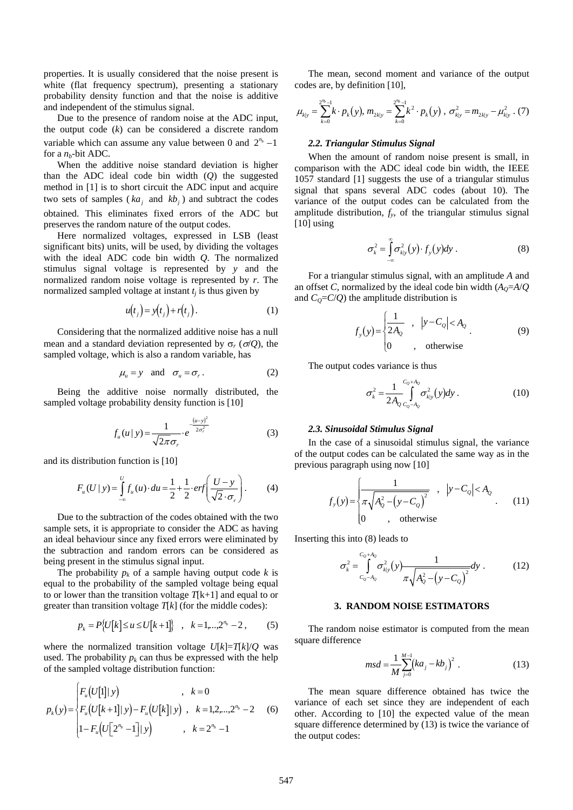properties. It is usually considered that the noise present is white (flat frequency spectrum), presenting a stationary probability density function and that the noise is additive and independent of the stimulus signal.

Due to the presence of random noise at the ADC input, the output code (*k*) can be considered a discrete random variable which can assume any value between 0 and  $2^{n_b} - 1$ for a  $n_b$ -bit ADC.

When the additive noise standard deviation is higher than the ADC ideal code bin width (*Q*) the suggested method in [1] is to short circuit the ADC input and acquire two sets of samples ( $ka_j$  and  $kb_j$ ) and subtract the codes obtained. This eliminates fixed errors of the ADC but preserves the random nature of the output codes.

Here normalized voltages, expressed in LSB (least significant bits) units, will be used, by dividing the voltages with the ideal ADC code bin width *Q*. The normalized stimulus signal voltage is represented by *y* and the normalized random noise voltage is represented by *r*. The normalized sampled voltage at instant  $t_i$  is thus given by

$$
u(tj) = y(tj) + r(tj).
$$
 (1)

Considering that the normalized additive noise has a null mean and a standard deviation represented by  $\sigma_r$  ( $\sigma/Q$ ), the sampled voltage, which is also a random variable, has

$$
\mu_u = y \quad \text{and} \quad \sigma_u = \sigma_r \,. \tag{2}
$$

Being the additive noise normally distributed, the sampled voltage probability density function is [10]

$$
f_u(u \mid y) = \frac{1}{\sqrt{2\pi}\sigma_r} \cdot e^{-\frac{(u-y)^2}{2\sigma_r^2}} \tag{3}
$$

and its distribution function is [10]

J.

$$
F_u(U \mid y) = \int_{-\infty}^{U} f_u(u) \cdot du = \frac{1}{2} + \frac{1}{2} \cdot erf\left(\frac{U - y}{\sqrt{2} \cdot \sigma_r}\right). \tag{4}
$$

Due to the subtraction of the codes obtained with the two sample sets, it is appropriate to consider the ADC as having an ideal behaviour since any fixed errors were eliminated by the subtraction and random errors can be considered as being present in the stimulus signal input.

The probability  $p_k$  of a sample having output code  $k$  is equal to the probability of the sampled voltage being equal to or lower than the transition voltage *T*[k+1] and equal to or greater than transition voltage *T*[*k*] (for the middle codes):

$$
p_k = P\{U[k] \le u \le U[k+1]\}, \quad k = 1, \ldots, 2^{n_b} - 2 \,, \tag{5}
$$

where the normalized transition voltage  $U[k]=T[k]/Q$  was used. The probability  $p_k$  can thus be expressed with the help of the sampled voltage distribution function:

$$
p_k(y) = \begin{cases} F_u(U[1]|y) & , k = 0\\ F_u(U[k+1]|y) - F_u(U[k]|y) & , k = 1,2,...,2^{n_b} - 2\\ 1 - F_u(U[2^{n_b} - 1]|y) & , k = 2^{n_b} - 1 \end{cases}
$$
(6)

The mean, second moment and variance of the output codes are, by definition [10],

$$
\mu_{k|y} = \sum_{k=0}^{2^{m_{b}}-1} k \cdot p_{k}(y), \, m_{2k|y} = \sum_{k=0}^{2^{m_{b}}-1} k^{2} \cdot p_{k}(y) , \, \sigma_{k|y}^{2} = m_{2k|y} - \mu_{k|y}^{2} . \, (7)
$$

### *2.2. Triangular Stimulus Signal*

When the amount of random noise present is small, in comparison with the ADC ideal code bin width, the IEEE 1057 standard [1] suggests the use of a triangular stimulus signal that spans several ADC codes (about 10). The variance of the output codes can be calculated from the amplitude distribution,  $f_y$ , of the triangular stimulus signal [10] using

$$
\sigma_k^2 = \int_{-\infty}^{\infty} \sigma_{k|y}^2(y) \cdot f_y(y) dy . \tag{8}
$$

For a triangular stimulus signal, with an amplitude *A* and an offset *C*, normalized by the ideal code bin width  $(A<sub>0</sub>=A/Q)$ and  $C_Q = C/Q$  the amplitude distribution is

$$
f_{y}(y) = \begin{cases} \frac{1}{2A_{Q}} & , |y - C_{Q}| < A_{Q} \\ 0 & , \text{ otherwise} \end{cases}
$$
 (9)

The output codes variance is thus

$$
\sigma_k^2 = \frac{1}{2A_Q} \int_{C_Q - A_Q}^{C_Q + A_Q} \sigma_{k|y}^2(y) dy.
$$
 (10)

#### *2.3. Sinusoidal Stimulus Signal*

In the case of a sinusoidal stimulus signal, the variance of the output codes can be calculated the same way as in the previous paragraph using now [10]

$$
f_{y}(y) = \begin{cases} \frac{1}{\pi \sqrt{A_{Q}^{2} - (y - C_{Q})^{2}}} & , |y - C_{Q}| < A_{Q} \\ 0 & , \text{ otherwise} \end{cases}
$$
 (11)

Inserting this into (8) leads to

$$
\sigma_k^2 = \int_{C_0 - A_0}^{C_0 + A_0} \sigma_{k|y}^2(y) \frac{1}{\pi \sqrt{A_0^2 - (y - C_0)^2}} dy .
$$
 (12)

### **3. RANDOM NOISE ESTIMATORS**

The random noise estimator is computed from the mean square difference

$$
msd = \frac{1}{M} \sum_{j=0}^{M-1} (ka_j - kb_j)^2
$$
 (13)

The mean square difference obtained has twice the variance of each set since they are independent of each other. According to [10] the expected value of the mean square difference determined by (13) is twice the variance of the output codes: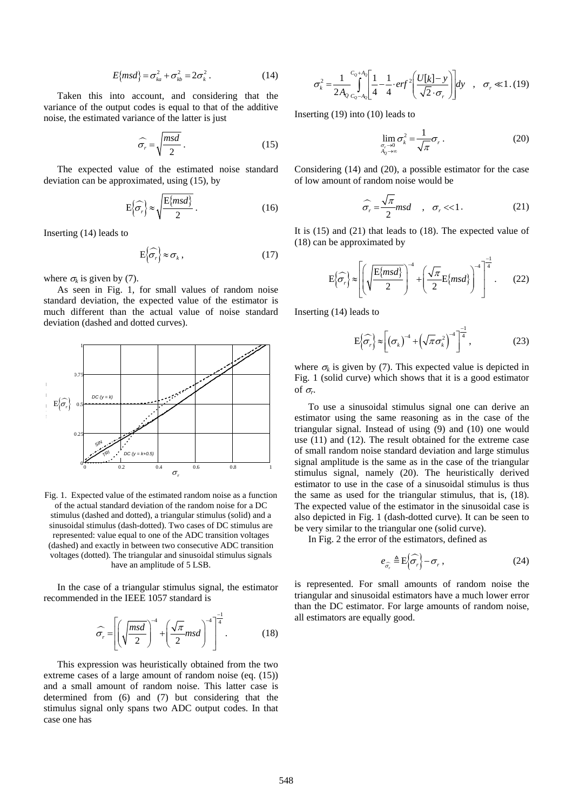$$
E\{msd\} = \sigma_{ka}^2 + \sigma_{kb}^2 = 2\sigma_k^2.
$$
 (14)

Taken this into account, and considering that the variance of the output codes is equal to that of the additive noise, the estimated variance of the latter is just

$$
\widehat{\sigma_r} = \sqrt{\frac{msd}{2}} \,. \tag{15}
$$

The expected value of the estimated noise standard deviation can be approximated, using (15), by

$$
E\left\{\widehat{\sigma_r}\right\} \approx \sqrt{\frac{E\{msd\}}{2}}\,. \tag{16}
$$

Inserting (14) leads to

$$
E\left\{\widehat{\sigma_r}\right\} \approx \sigma_k \,,\tag{17}
$$

where  $\sigma_k$  is given by (7).

As seen in Fig. 1, for small values of random noise standard deviation, the expected value of the estimator is much different than the actual value of noise standard deviation (dashed and dotted curves).



Fig. 1. Expected value of the estimated random noise as a function of the actual standard deviation of the random noise for a DC stimulus (dashed and dotted), a triangular stimulus (solid) and a sinusoidal stimulus (dash-dotted). Two cases of DC stimulus are represented: value equal to one of the ADC transition voltages (dashed) and exactly in between two consecutive ADC transition voltages (dotted). The triangular and sinusoidal stimulus signals have an amplitude of 5 LSB.

In the case of a triangular stimulus signal, the estimator recommended in the IEEE 1057 standard is

$$
\widehat{\sigma_r} = \left[ \left( \sqrt{\frac{msd}{2}} \right)^{-4} + \left( \frac{\sqrt{\pi}}{2} msd \right)^{-4} \right]^{-\frac{1}{4}}.
$$
 (18)

This expression was heuristically obtained from the two extreme cases of a large amount of random noise (eq. (15)) and a small amount of random noise. This latter case is determined from (6) and (7) but considering that the stimulus signal only spans two ADC output codes. In that case one has

$$
\sigma_k^2 = \frac{1}{2A_Q} \int_{c_Q - A_Q}^{c_Q + A_Q} \left[ \frac{1}{4} - \frac{1}{4} \cdot erf^2 \left( \frac{U[k] - y}{\sqrt{2} \cdot \sigma_r} \right) \right] dy \quad , \quad \sigma_r \ll 1. \tag{19}
$$

Inserting (19) into (10) leads to

$$
\lim_{\substack{\sigma_r \to 0 \\ A_0 \to \infty}} \sigma_k^2 = \frac{1}{\sqrt{\pi}} \sigma_r \,. \tag{20}
$$

Considering (14) and (20), a possible estimator for the case of low amount of random noise would be

$$
\widehat{\sigma_r} = \frac{\sqrt{\pi}}{2} m s d \quad , \quad \sigma_r \ll 1. \tag{21}
$$

It is (15) and (21) that leads to (18). The expected value of (18) can be approximated by

$$
E\left\{\widehat{\sigma_r}\right\} \approx \left[ \left( \sqrt{\frac{E\{msd\}}{2}} \right)^{-4} + \left( \frac{\sqrt{\pi}}{2} E\{msd\} \right)^{-4} \right]^{-\frac{1}{4}}.
$$
 (22)

Inserting (14) leads to

$$
E\left\{\widehat{\sigma_r}\right\} \approx \left[\left(\sigma_k\right)^{-4} + \left(\sqrt{\pi}\sigma_k^2\right)^{-4}\right]^{-\frac{1}{4}},\tag{23}
$$

where  $\sigma_k$  is given by (7). This expected value is depicted in Fig. 1 (solid curve) which shows that it is a good estimator of  $\sigma_r$ .

To use a sinusoidal stimulus signal one can derive an estimator using the same reasoning as in the case of the triangular signal. Instead of using (9) and (10) one would use (11) and (12). The result obtained for the extreme case of small random noise standard deviation and large stimulus signal amplitude is the same as in the case of the triangular stimulus signal, namely (20). The heuristically derived estimator to use in the case of a sinusoidal stimulus is thus the same as used for the triangular stimulus, that is, (18). The expected value of the estimator in the sinusoidal case is also depicted in Fig. 1 (dash-dotted curve). It can be seen to be very similar to the triangular one (solid curve).

In Fig. 2 the error of the estimators, defined as

$$
e_{\widehat{\sigma_r}} \triangleq \mathbb{E} \left\{ \widehat{\sigma_r} \right\} - \sigma_r , \qquad (24)
$$

is represented. For small amounts of random noise the triangular and sinusoidal estimators have a much lower error than the DC estimator. For large amounts of random noise, all estimators are equally good.